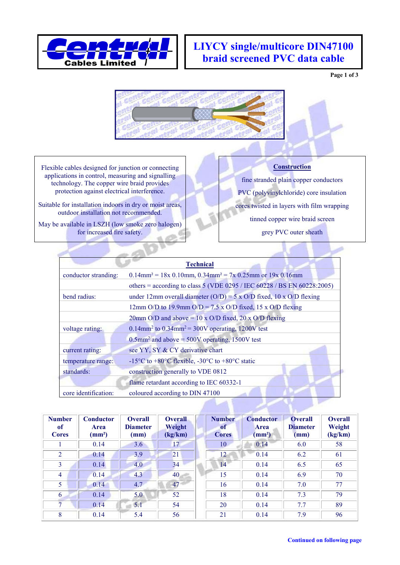

## **LIYCY single/multicore DIN47100 braid screened PVC data cable**

**Page 1 of 3**



Flexible cables designed for junction or connecting applications in control, measuring and signalling technology. The copper wire braid provides protection against electrical interference.

Suitable for installation indoors in dry or moist areas, outdoor installation not recommended.

May be available in LSZH (low smoke zero halogen) for increased fire safety.

## **Construction**

fine stranded plain copper conductors PVC (polyvinylchloride) core insulation cores twisted in layers with film wrapping tinned copper wire braid screen grey PVC outer sheath

|                      | <b>Technical</b>                                                                                   |  |  |  |  |  |  |  |
|----------------------|----------------------------------------------------------------------------------------------------|--|--|--|--|--|--|--|
| conductor stranding: | $0.14$ mm <sup>2</sup> = 18x 0.10mm, 0.34mm <sup>2</sup> = 7x 0.25mm or 19x 0.16mm                 |  |  |  |  |  |  |  |
|                      | others = according to class 5 (VDE 0295 / IEC 60228 / BS EN 60228:2005)                            |  |  |  |  |  |  |  |
| bend radius:         | under 12mm overall diameter (O/D) = 5 x O/D fixed, 10 x O/D flexing                                |  |  |  |  |  |  |  |
|                      | 12mm O/D to 19.9mm O/D = 7.5 x O/D fixed, 15 x O/D flexing                                         |  |  |  |  |  |  |  |
|                      | 20mm O/D and above = $10 \times$ O/D fixed, 20 x O/D flexing                                       |  |  |  |  |  |  |  |
| voltage rating:      | 0.14mm <sup>2</sup> to 0.34mm <sup>2</sup> = 300V operating, 1200V test                            |  |  |  |  |  |  |  |
|                      | $0.5$ mm <sup>2</sup> and above = 500V operating, 1500V test                                       |  |  |  |  |  |  |  |
| current rating:      | see YY, SY & CY derivative chart                                                                   |  |  |  |  |  |  |  |
| temperature range:   | -15 <sup>o</sup> C to +80 <sup>o</sup> C flexible, -30 <sup>o</sup> C to +80 <sup>o</sup> C static |  |  |  |  |  |  |  |
| standards:           | construction generally to VDE 0812                                                                 |  |  |  |  |  |  |  |
|                      | flame retardant according to IEC 60332-1                                                           |  |  |  |  |  |  |  |
| core identification: | coloured according to DIN 47100                                                                    |  |  |  |  |  |  |  |

| <b>Number</b><br><sub>of</sub><br><b>Cores</b> | <b>Conductor</b><br>Area<br>$\text{(mm}^2\text{)}$ | <b>Overall</b><br><b>Diameter</b><br>(mm) | <b>Overall</b><br>Weight<br>(kg/km) | <b>Number</b><br><sub>of</sub><br><b>Cores</b> | <b>Conductor</b><br>Area<br>$\text{m}^2$ | <b>Overall</b><br><b>Diameter</b><br>(mm) | <b>Overall</b><br>Weight<br>(kg/km) |
|------------------------------------------------|----------------------------------------------------|-------------------------------------------|-------------------------------------|------------------------------------------------|------------------------------------------|-------------------------------------------|-------------------------------------|
|                                                | 0.14                                               | 3.6                                       | 17                                  | 10                                             | 0.14                                     | 6.0                                       | 58                                  |
| 2                                              | 0.14                                               | 3.9                                       | 21                                  | 12 <sub>1</sub>                                | 0.14                                     | 6.2                                       | 61                                  |
| 3                                              | 0.14                                               | 4.0                                       | 34                                  | 14                                             | 0.14                                     | 6.5                                       | 65                                  |
| 4                                              | 0.14                                               | 4.3                                       | 40                                  | 15                                             | 0.14                                     | 6.9                                       | 70                                  |
| 5                                              | 0.14                                               | 4.7                                       | 47                                  | 16                                             | 0.14                                     | 7.0                                       | 77                                  |
| 6                                              | 0.14                                               | 5.0                                       | 52                                  | 18                                             | 0.14                                     | 7.3                                       | 79                                  |
| 7                                              | 0.14                                               | 5.1                                       | 54                                  | 20                                             | 0.14                                     | 7.7                                       | 89                                  |
| 8                                              | 0.14                                               | 5.4                                       | 56                                  | 21                                             | 0.14                                     | 7.9                                       | 96                                  |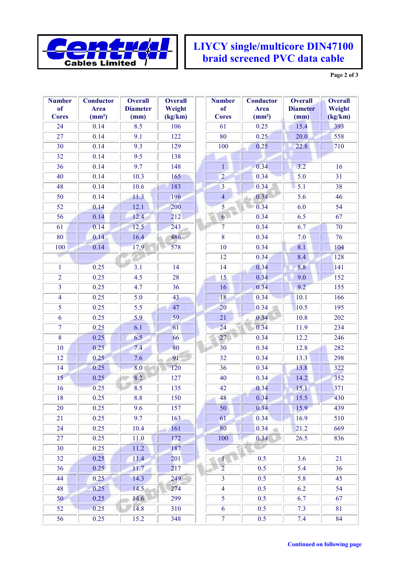

## **LIYCY single/multicore DIN47100 braid screened PVC data cable**

**Page 2 of 3**

| <b>Number</b>           | <b>Conductor</b>   | <b>Overall</b>  | <b>Overall</b> | <b>Number</b>   | <b>Conductor</b>   | <b>Overall</b>   | <b>Overall</b> |
|-------------------------|--------------------|-----------------|----------------|-----------------|--------------------|------------------|----------------|
| <sub>of</sub>           | <b>Area</b>        | <b>Diameter</b> | Weight         | <sub>of</sub>   | <b>Area</b>        | <b>Diameter</b>  | Weight         |
| <b>Cores</b>            | (mm <sup>2</sup> ) | (mm)            | (kg/km)        | <b>Cores</b>    | (mm <sup>2</sup> ) | (mm)             | (kg/km)        |
| 24                      | 0.14               | 8.5             | 106            | 61              | 0.25               | 15.4             | 393            |
| 27                      | 0.14               | 9.1             | 122            | 80              | 0.25               | 20.0             | 558            |
| 30                      | 0.14               | 9.3             | 129            | 100             | 0.25               | 22.8             | 710            |
| 32                      | 0.14               | 9.5             | 138            |                 |                    |                  |                |
| 36                      | 0.14               | 9.7             | 148            | $\mathbf{1}$    | 0.34               | 3.2              | 16             |
| 40                      | 0.14               | 10.3            | 165            | $\overline{2}$  | 0.34               | 5.0              | 31             |
| 48                      | 0.14               | 10.6            | 183            | $\overline{3}$  | 0.34               | $\overline{5.1}$ | 38             |
| 50                      | 0.14               | 11.3            | 196            | $\overline{4}$  | 0.34               | 5.6              | 46             |
| 52                      | 0.14               | 12.1            | 200            | $\overline{5}$  | 0.34               | 6.0              | 54             |
| 56                      | 0.14               | 12.4            | 212            | 6 <sup>1</sup>  | 0.34               | 6.5              | 67             |
| 61                      | 0.14               | 12.5            | 243            | $\overline{7}$  | 0.34               | 6.7              | 70             |
| 80                      | 0.14               | 16.4            | 486            | 8               | 0.34               | 7.0              | 76             |
| 100                     | 0.14               | 17.9            | 578            | 10              | 0.34               | 8.1              | 104            |
|                         |                    |                 |                | 12              | 0.34               | 8.4              | 128            |
| $\mathbf{1}$            | 0.25               | 3.1             | 14             | 14              | 0.34               | 8.8              | 141            |
| $\overline{2}$          | 0.25               | 4.5             | 28             | 15              | 0.34               | 9.0              | 152            |
| $\overline{\mathbf{3}}$ | 0.25               | 4.7             | 36             | 16              | 0.34               | 9.2              | 155            |
| $\overline{4}$          | 0.25               | 5.0             | 43             | 18              | 0.34               | 10.1             | 166            |
| 5                       | 0.25               | 5.5             | 47             | 20              | 0.34               | 10.5             | 195            |
| 6                       | 0.25               | 5.9             | 59             | 21              | 0.34               | 10.8             | 202            |
| $\boldsymbol{7}$        | 0.25               | 6.1             | 61             | 24              | 0.34               | 11.9             | 234            |
| 8                       | 0.25               | 6.5             | 66             | 27              | 0.34               | 12.2             | 246            |
| 10                      | 0.25               | 7.4             | 80             | 30              | 0.34               | 12.8             | 282            |
| 12                      | 0.25               | 7.6             | 91             | 32              | 0.34               | 13.3             | 298            |
| 14                      | 0.25               | 8.0             | 120            | $\overline{36}$ | 0.34               | 13.8             | 322            |
| 15                      | 0.25               | 8.2             | 127            | 40              | 0.34               | 14.2             | 352            |
| 16                      | 0.25               | 8.5             | 135            | 42              | 0.34               | 15.1             | 371            |
| 18                      | 0.25               | 8.8             | 150            | 48              | 0.34               | 15.5             | 430            |
| 20                      | 0.25               | 9.6             | 157            | 50              | 0.34               | 15.9             | 439            |
| 21                      | 0.25               | 9.7             | 163            | 61              | 0.34               | 16.9             | 510            |
| 24                      | 0.25               | 10.4            | 161            | 80              | 0.34               | 21.2             | 669            |
| 27                      | 0.25               | 11.0            | 172            | 100             | 0.34               | 26.5             | 836            |
| 30                      | 0.25               | 11.2            | 187            |                 |                    |                  |                |
| 32                      | 0.25               | 11.4            | 201            | $\mathbf{1}$    | 0.5                | 3.6              | 21             |
| 36                      | 0.25               | 11.7            | 217            | $\overline{2}$  | 0.5                | 5.4              | 36             |
| 44                      | 0.25               | 14.3            | 249            | $\overline{3}$  | 0.5                | 5.8              | 45             |
| 48                      | 0.25               | 14.5            | 274            | $\overline{4}$  | 0.5                | 6.2              | 54             |
| 50                      | 0.25               | 14.6            | 299            | 5 <sup>5</sup>  | 0.5                | 6.7              | 67             |
| 52                      | 0.25               | 14.8            | 310            | 6               | 0.5                | 7.3              | 81             |
| 56                      | 0.25               | 15.2            | 348            | $\overline{7}$  | 0.5                | 7.4              | 84             |